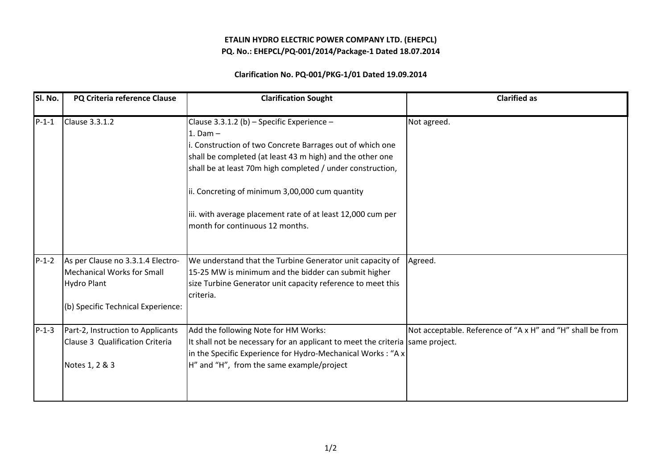## ETALIN HYDRO ELECTRIC POWER COMPANY LTD. (EHEPCL)PQ. No.: EHEPCL/PQ-001/2014/Package-1 Dated 18.07.2014

## Clarification No. PQ-001/PKG-1/01 Dated 19.09.2014

| SI. No. | PQ Criteria reference Clause                                                                                                       | <b>Clarification Sought</b>                                                                                                                                                                                                                                                                                                                                                                            | <b>Clarified as</b>                                        |
|---------|------------------------------------------------------------------------------------------------------------------------------------|--------------------------------------------------------------------------------------------------------------------------------------------------------------------------------------------------------------------------------------------------------------------------------------------------------------------------------------------------------------------------------------------------------|------------------------------------------------------------|
| $P-1-1$ | Clause 3.3.1.2                                                                                                                     | Clause 3.3.1.2 (b) - Specific Experience -<br>$1.$ Dam $-$<br>. Construction of two Concrete Barrages out of which one<br>shall be completed (at least 43 m high) and the other one<br>shall be at least 70m high completed / under construction,<br>ii. Concreting of minimum 3,00,000 cum quantity<br>iii. with average placement rate of at least 12,000 cum per<br>month for continuous 12 months. | Not agreed.                                                |
| $P-1-2$ | As per Clause no 3.3.1.4 Electro-<br><b>Mechanical Works for Small</b><br><b>Hydro Plant</b><br>(b) Specific Technical Experience: | We understand that the Turbine Generator unit capacity of<br>15-25 MW is minimum and the bidder can submit higher<br>size Turbine Generator unit capacity reference to meet this<br>criteria.                                                                                                                                                                                                          | Agreed.                                                    |
| $P-1-3$ | Part-2, Instruction to Applicants<br>Clause 3 Qualification Criteria<br>Notes 1, 2 & 3                                             | Add the following Note for HM Works:<br>It shall not be necessary for an applicant to meet the criteria same project.<br>in the Specific Experience for Hydro-Mechanical Works: "A x<br>H" and "H", from the same example/project                                                                                                                                                                      | Not acceptable. Reference of "A x H" and "H" shall be from |